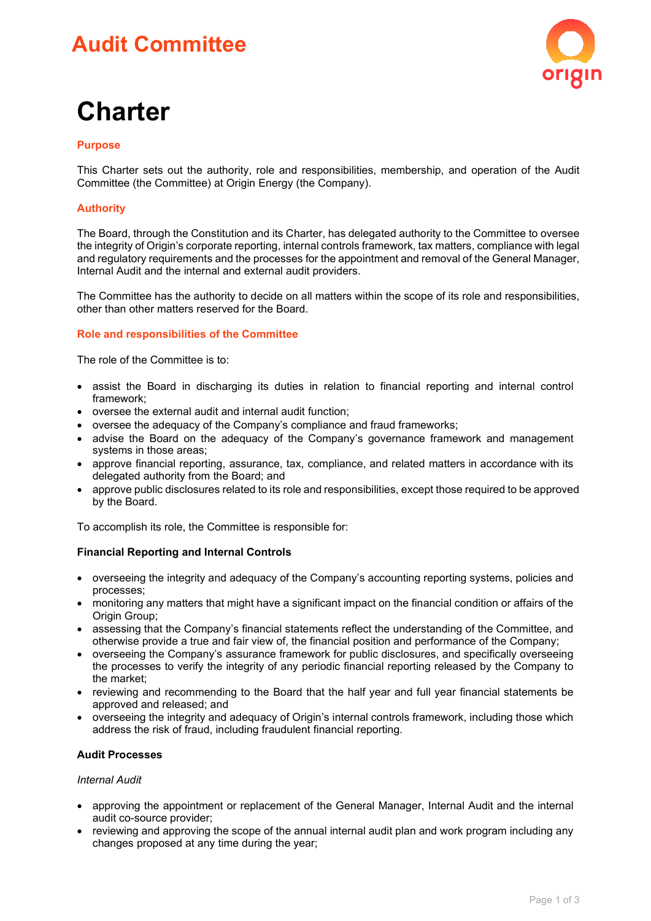# **Audit Committee**



# **Charter**

# **Purpose**

This Charter sets out the authority, role and responsibilities, membership, and operation of the Audit Committee (the Committee) at Origin Energy (the Company).

# **Authority**

The Board, through the Constitution and its Charter, has delegated authority to the Committee to oversee the integrity of Origin's corporate reporting, internal controls framework, tax matters, compliance with legal and regulatory requirements and the processes for the appointment and removal of the General Manager, Internal Audit and the internal and external audit providers.

The Committee has the authority to decide on all matters within the scope of its role and responsibilities, other than other matters reserved for the Board.

## **Role and responsibilities of the Committee**

The role of the Committee is to:

- assist the Board in discharging its duties in relation to financial reporting and internal control framework;
- oversee the external audit and internal audit function;
- oversee the adequacy of the Company's compliance and fraud frameworks;
- advise the Board on the adequacy of the Company's governance framework and management systems in those areas;
- approve financial reporting, assurance, tax, compliance, and related matters in accordance with its delegated authority from the Board; and
- approve public disclosures related to its role and responsibilities, except those required to be approved by the Board.

To accomplish its role, the Committee is responsible for:

## **Financial Reporting and Internal Controls**

- overseeing the integrity and adequacy of the Company's accounting reporting systems, policies and processes;
- monitoring any matters that might have a significant impact on the financial condition or affairs of the Origin Group;
- assessing that the Company's financial statements reflect the understanding of the Committee, and otherwise provide a true and fair view of, the financial position and performance of the Company;
- overseeing the Company's assurance framework for public disclosures, and specifically overseeing the processes to verify the integrity of any periodic financial reporting released by the Company to the market;
- reviewing and recommending to the Board that the half year and full year financial statements be approved and released; and
- overseeing the integrity and adequacy of Origin's internal controls framework, including those which address the risk of fraud, including fraudulent financial reporting.

## **Audit Processes**

#### *Internal Audit*

- approving the appointment or replacement of the General Manager, Internal Audit and the internal audit co-source provider;
- reviewing and approving the scope of the annual internal audit plan and work program including any changes proposed at any time during the year;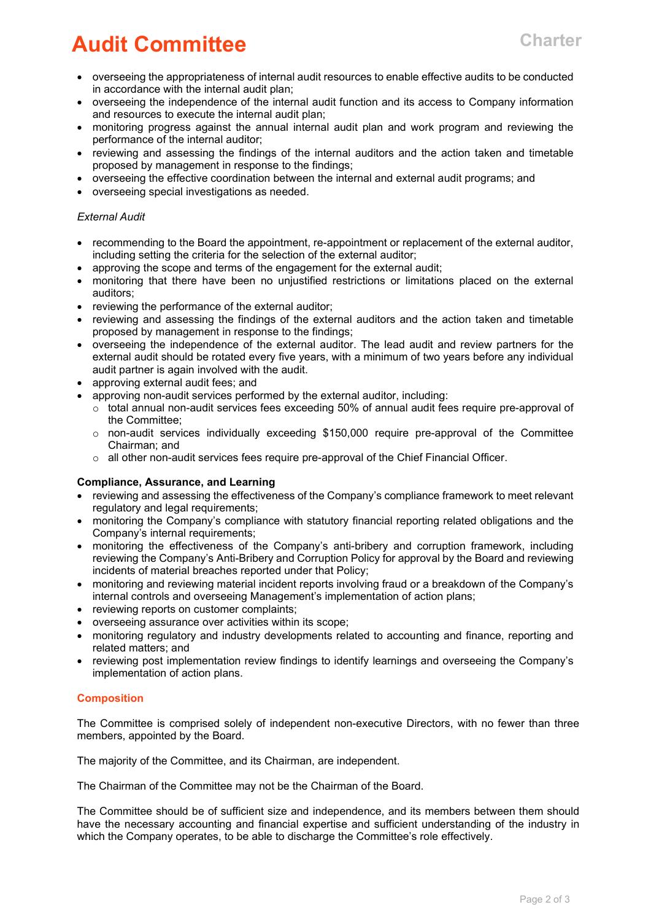# **Audit Committee Charter**

- overseeing the appropriateness of internal audit resources to enable effective audits to be conducted in accordance with the internal audit plan;
- overseeing the independence of the internal audit function and its access to Company information and resources to execute the internal audit plan;
- monitoring progress against the annual internal audit plan and work program and reviewing the performance of the internal auditor;
- reviewing and assessing the findings of the internal auditors and the action taken and timetable proposed by management in response to the findings;
- overseeing the effective coordination between the internal and external audit programs; and
- overseeing special investigations as needed.

#### *External Audit*

- recommending to the Board the appointment, re-appointment or replacement of the external auditor, including setting the criteria for the selection of the external auditor;
- approving the scope and terms of the engagement for the external audit;
- monitoring that there have been no unjustified restrictions or limitations placed on the external auditors;
- reviewing the performance of the external auditor;
- reviewing and assessing the findings of the external auditors and the action taken and timetable proposed by management in response to the findings;
- overseeing the independence of the external auditor. The lead audit and review partners for the external audit should be rotated every five years, with a minimum of two years before any individual audit partner is again involved with the audit.
- approving external audit fees; and
- approving non-audit services performed by the external auditor, including:
	- $\circ$  total annual non-audit services fees exceeding 50% of annual audit fees require pre-approval of the Committee;
	- $\circ$  non-audit services individually exceeding \$150,000 require pre-approval of the Committee Chairman; and
	- $\circ$  all other non-audit services fees require pre-approval of the Chief Financial Officer.

#### **Compliance, Assurance, and Learning**

- reviewing and assessing the effectiveness of the Company's compliance framework to meet relevant regulatory and legal requirements;
- monitoring the Company's compliance with statutory financial reporting related obligations and the Company's internal requirements;
- monitoring the effectiveness of the Company's anti-bribery and corruption framework, including reviewing the Company's Anti-Bribery and Corruption Policy for approval by the Board and reviewing incidents of material breaches reported under that Policy;
- monitoring and reviewing material incident reports involving fraud or a breakdown of the Company's internal controls and overseeing Management's implementation of action plans;
- reviewing reports on customer complaints;
- overseeing assurance over activities within its scope;
- monitoring regulatory and industry developments related to accounting and finance, reporting and related matters; and
- reviewing post implementation review findings to identify learnings and overseeing the Company's implementation of action plans.

## **Composition**

The Committee is comprised solely of independent non-executive Directors, with no fewer than three members, appointed by the Board.

The majority of the Committee, and its Chairman, are independent.

The Chairman of the Committee may not be the Chairman of the Board.

The Committee should be of sufficient size and independence, and its members between them should have the necessary accounting and financial expertise and sufficient understanding of the industry in which the Company operates, to be able to discharge the Committee's role effectively.